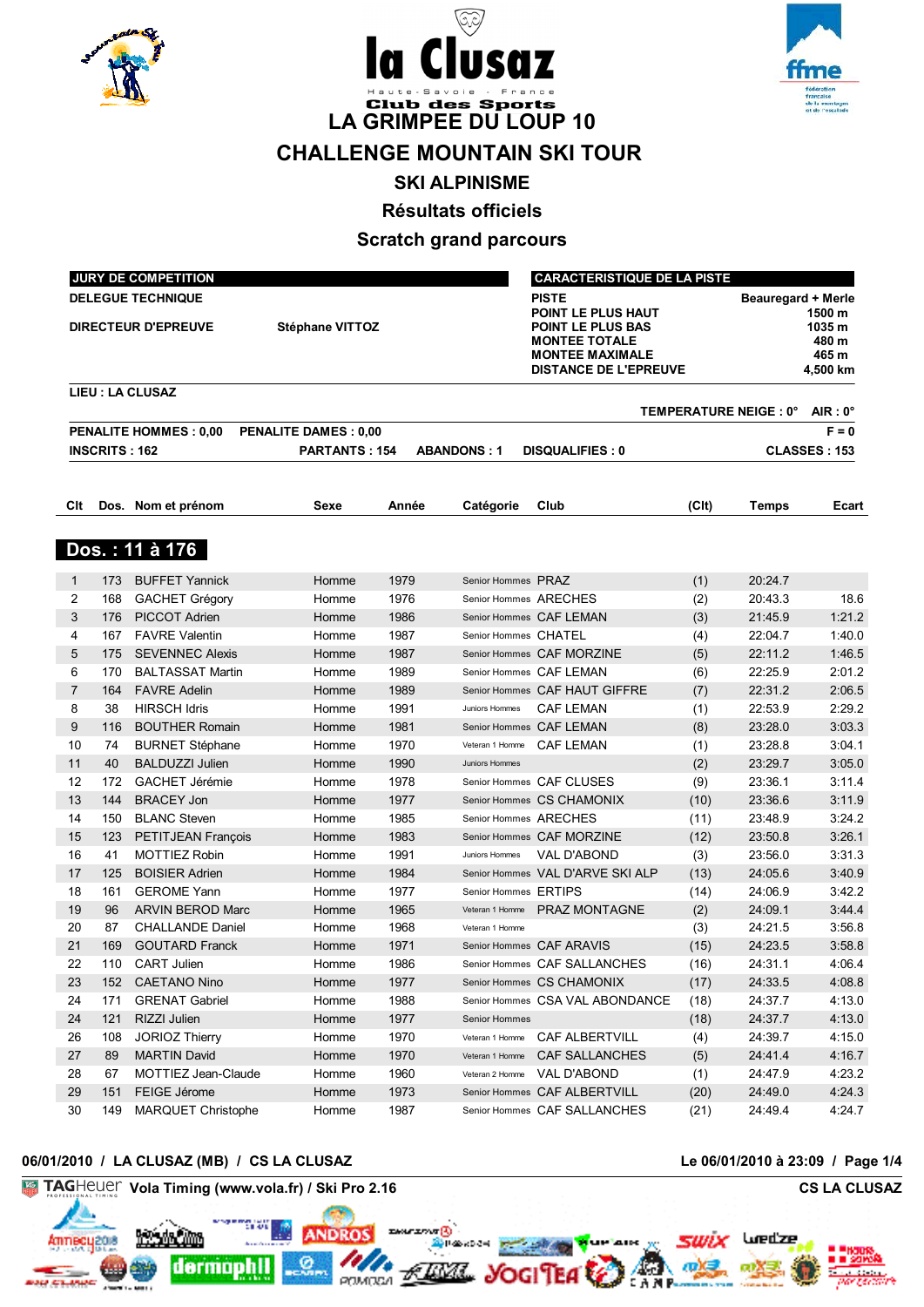





# **CHALLENGE MOUNTAIN SKI TOUR**

**SKI ALPINISME**

**Résultats officiels**

# **Scratch grand parcours**

|                |                      | <b>JURY DE COMPETITION</b>                             |                             |       |                       | <b>CARACTERISTIQUE DE LA PISTE</b>                                                                                                               |                   |                                 |                                                |
|----------------|----------------------|--------------------------------------------------------|-----------------------------|-------|-----------------------|--------------------------------------------------------------------------------------------------------------------------------------------------|-------------------|---------------------------------|------------------------------------------------|
|                |                      | <b>DELEGUE TECHNIQUE</b><br><b>DIRECTEUR D'EPREUVE</b> | <b>Stéphane VITTOZ</b>      |       |                       | <b>PISTE</b><br>POINT LE PLUS HAUT<br><b>POINT LE PLUS BAS</b><br><b>MONTEE TOTALE</b><br><b>MONTEE MAXIMALE</b><br><b>DISTANCE DE L'EPREUVE</b> |                   | <b>Beauregard + Merle</b>       | 1500 m<br>1035 m<br>480 m<br>465 m<br>4,500 km |
|                |                      | <b>LIEU : LA CLUSAZ</b>                                |                             |       |                       |                                                                                                                                                  |                   | TEMPERATURE NEIGE : 0° AIR : 0° |                                                |
|                |                      | <b>PENALITE HOMMES: 0,00</b>                           | <b>PENALITE DAMES: 0,00</b> |       |                       |                                                                                                                                                  |                   |                                 | $F = 0$                                        |
|                | <b>INSCRITS: 162</b> |                                                        | <b>PARTANTS: 154</b>        |       | <b>ABANDONS: 1</b>    | <b>DISQUALIFIES: 0</b>                                                                                                                           |                   |                                 | <b>CLASSES: 153</b>                            |
| Clt            |                      | Dos. Nom et prénom                                     | Sexe                        | Année | Catégorie             | Club                                                                                                                                             | (C <sub>l</sub> ) | <b>Temps</b>                    | Ecart                                          |
|                |                      |                                                        |                             |       |                       |                                                                                                                                                  |                   |                                 |                                                |
|                |                      | Dos.: 11 à 176                                         |                             |       |                       |                                                                                                                                                  |                   |                                 |                                                |
| 1              | 173                  | <b>BUFFET Yannick</b>                                  | Homme                       | 1979  | Senior Hommes PRAZ    |                                                                                                                                                  | (1)               | 20:24.7                         |                                                |
| 2              | 168                  | <b>GACHET Grégory</b>                                  | Homme                       | 1976  | Senior Hommes ARECHES |                                                                                                                                                  | (2)               | 20:43.3                         | 18.6                                           |
| 3              | 176                  | PICCOT Adrien                                          | Homme                       | 1986  |                       | Senior Hommes CAF LEMAN                                                                                                                          | (3)               | 21:45.9                         | 1:21.2                                         |
| 4              | 167                  | <b>FAVRE Valentin</b>                                  | Homme                       | 1987  | Senior Hommes CHATEL  |                                                                                                                                                  | (4)               | 22:04.7                         | 1:40.0                                         |
| 5              | 175                  | <b>SEVENNEC Alexis</b>                                 | Homme                       | 1987  |                       | Senior Hommes CAF MORZINE                                                                                                                        | (5)               | 22:11.2                         | 1:46.5                                         |
| 6              | 170                  | <b>BALTASSAT Martin</b>                                | Homme                       | 1989  |                       | Senior Hommes CAF LEMAN                                                                                                                          | (6)               | 22:25.9                         | 2:01.2                                         |
| $\overline{7}$ | 164                  | <b>FAVRE Adelin</b>                                    | Homme                       | 1989  |                       | Senior Hommes CAF HAUT GIFFRE                                                                                                                    | (7)               | 22:31.2                         | 2:06.5                                         |
| 8              | 38                   | <b>HIRSCH Idris</b>                                    | Homme                       | 1991  | Juniors Hommes        | <b>CAF LEMAN</b>                                                                                                                                 | (1)               | 22:53.9                         | 2:29.2                                         |
| 9              | 116                  | <b>BOUTHER Romain</b>                                  | Homme                       | 1981  |                       | Senior Hommes CAF LEMAN                                                                                                                          | (8)               | 23:28.0                         | 3:03.3                                         |
| 10             | 74                   | <b>BURNET Stéphane</b>                                 | Homme                       | 1970  | Veteran 1 Homme       | CAF LEMAN                                                                                                                                        | (1)               | 23:28.8                         | 3:04.1                                         |
| 11             | 40                   | <b>BALDUZZI Julien</b>                                 | Homme                       | 1990  | Juniors Hommes        |                                                                                                                                                  | (2)               | 23:29.7                         | 3:05.0                                         |
| 12             | 172                  | GACHET Jérémie                                         | Homme                       | 1978  |                       | Senior Hommes CAF CLUSES                                                                                                                         | (9)               | 23:36.1                         | 3:11.4                                         |
| 13             | 144                  | <b>BRACEY Jon</b>                                      | Homme                       | 1977  |                       | Senior Hommes CS CHAMONIX                                                                                                                        | (10)              | 23:36.6                         | 3:11.9                                         |
| 14             | 150                  | <b>BLANC Steven</b>                                    | Homme                       | 1985  | Senior Hommes ARECHES |                                                                                                                                                  | (11)              | 23:48.9                         | 3:24.2                                         |
| 15             | 123                  | PETITJEAN François                                     | Homme                       | 1983  |                       | Senior Hommes CAF MORZINE                                                                                                                        | (12)              | 23:50.8                         | 3:26.1                                         |
| 16             | 41                   | <b>MOTTIEZ Robin</b>                                   | Homme                       | 1991  | Juniors Hommes        | VAL D'ABOND                                                                                                                                      | (3)               | 23:56.0                         | 3:31.3                                         |
| 17             | 125                  | <b>BOISIER Adrien</b>                                  | Homme                       | 1984  |                       | Senior Hommes VAL D'ARVE SKI ALP                                                                                                                 | (13)              | 24:05.6                         | 3:40.9                                         |
| 18             | 161                  | <b>GEROME Yann</b>                                     | Homme                       | 1977  | Senior Hommes ERTIPS  |                                                                                                                                                  | (14)              | 24:06.9                         | 3:42.2                                         |
| 19             | 96                   | <b>ARVIN BEROD Marc</b>                                | Homme                       | 1965  |                       | Veteran 1 Homme PRAZ MONTAGNE                                                                                                                    | (2)               | 24:09.1                         | 3:44.4                                         |
| 20             | 87                   | <b>CHALLANDE Daniel</b>                                | Homme                       | 1968  | Veteran 1 Homme       |                                                                                                                                                  | (3)               | 24:21.5                         | 3:56.8                                         |
| 21             | 169                  | <b>GOUTARD Franck</b>                                  | Homme                       | 1971  |                       | Senior Hommes CAF ARAVIS                                                                                                                         | (15)              | 24:23.5                         | 3:58.8                                         |
| 22             | 110                  | <b>CART Julien</b>                                     | Homme                       | 1986  |                       | Senior Hommes CAF SALLANCHES                                                                                                                     | (16)              | 24:31.1                         | 4:06.4                                         |
| 23             |                      | 152 CAETANO Nino                                       | Homme                       | 1977  |                       | Senior Hommes CS CHAMONIX                                                                                                                        | (17)              | 24:33.5                         | 4:08.8                                         |
| 24             | 171                  | <b>GRENAT Gabriel</b>                                  | Homme                       | 1988  |                       | Senior Hommes CSA VAL ABONDANCE                                                                                                                  | (18)              | 24:37.7                         | 4:13.0                                         |
| 24             | 121                  | RIZZI Julien                                           | Homme                       | 1977  | Senior Hommes         |                                                                                                                                                  | (18)              | 24:37.7                         | 4:13.0                                         |
| 26             | 108                  | JORIOZ Thierry                                         | Homme                       | 1970  |                       | Veteran 1 Homme  CAF ALBERTVILL                                                                                                                  | (4)               | 24:39.7                         | 4:15.0                                         |
| 27             | 89                   | <b>MARTIN David</b>                                    | Homme                       | 1970  |                       | Veteran 1 Homme CAF SALLANCHES                                                                                                                   | (5)               | 24:41.4                         | 4:16.7                                         |
| 28             | 67                   | MOTTIEZ Jean-Claude                                    | Homme                       | 1960  |                       | Veteran 2 Homme VAL D'ABOND                                                                                                                      | (1)               | 24:47.9                         | 4:23.2                                         |
| 29             | 151                  | FEIGE Jérome                                           | Homme                       | 1973  |                       | Senior Hommes CAF ALBERTVILL                                                                                                                     | (20)              | 24:49.0                         | 4:24.3                                         |
| 30             | 149                  | <b>MARQUET Christophe</b>                              | Homme                       | 1987  |                       | Senior Hommes CAF SALLANCHES                                                                                                                     | (21)              | 24:49.4                         | 4:24.7                                         |

# **06/01/2010 / LA CLUSAZ (MB) / CS LA CLUSAZ Le 06/01/2010 à 23:09 / Page 1/4**

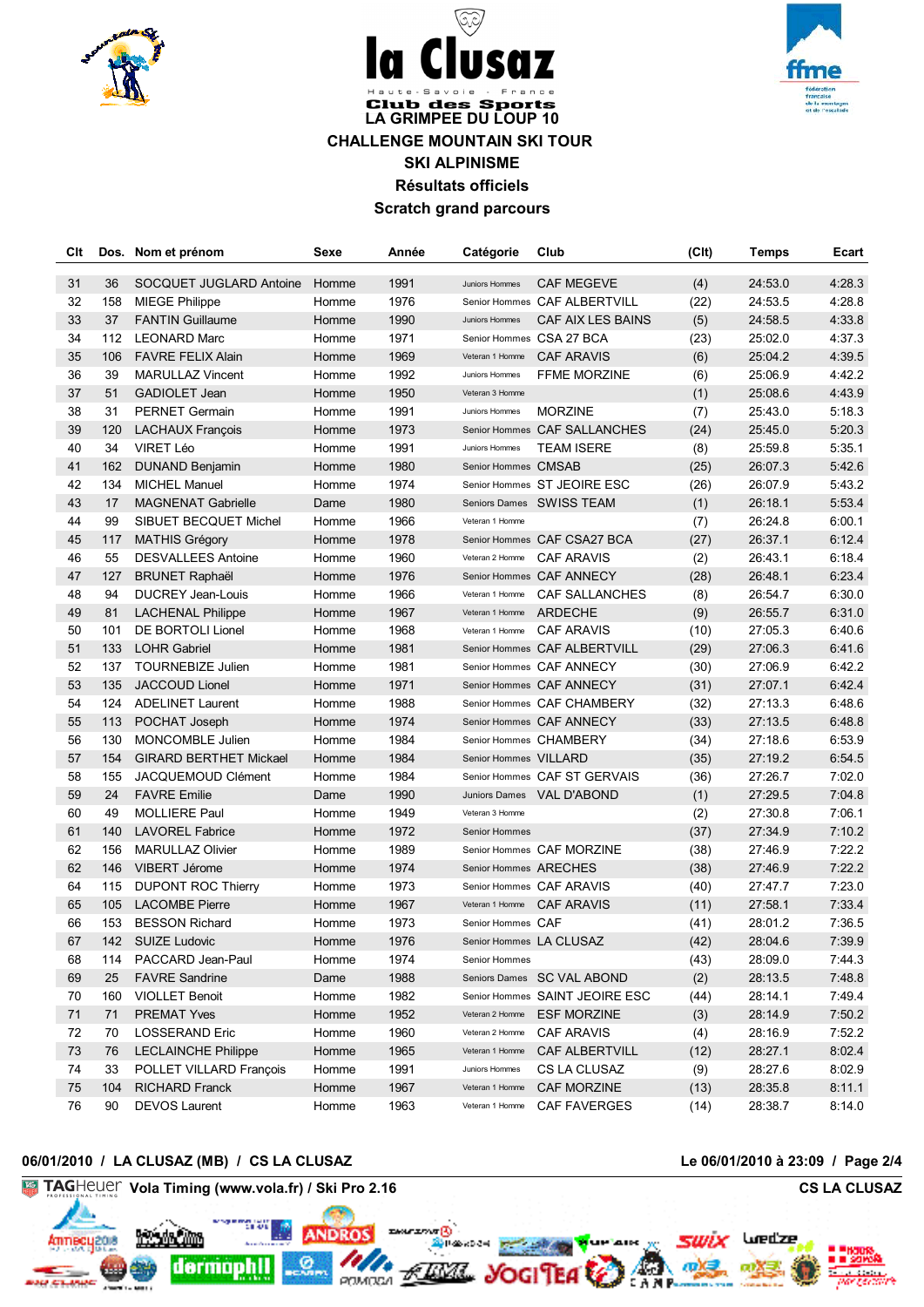





# **Club des Sports LA GRIMPEE DU LOUP 10 CHALLENGE MOUNTAIN SKI TOUR SKI ALPINISME Résultats officiels Scratch grand parcours**

| Clt |     | Dos. Nom et prénom            | Sexe  | Année | Catégorie             | Club                           | (C <sub>It</sub> ) | <b>Temps</b> | Ecart  |
|-----|-----|-------------------------------|-------|-------|-----------------------|--------------------------------|--------------------|--------------|--------|
| 31  | 36  | SOCQUET JUGLARD Antoine       | Homme | 1991  | Juniors Hommes        | <b>CAF MEGEVE</b>              | (4)                | 24:53.0      | 4:28.3 |
| 32  | 158 | <b>MIEGE Philippe</b>         | Homme | 1976  |                       | Senior Hommes CAF ALBERTVILL   | (22)               | 24:53.5      | 4:28.8 |
| 33  | 37  | <b>FANTIN Guillaume</b>       | Homme | 1990  | Juniors Hommes        | CAF AIX LES BAINS              | (5)                | 24:58.5      | 4:33.8 |
| 34  | 112 | <b>LEONARD Marc</b>           | Homme | 1971  |                       | Senior Hommes CSA 27 BCA       | (23)               | 25:02.0      | 4:37.3 |
| 35  | 106 | <b>FAVRE FELIX Alain</b>      | Homme | 1969  | Veteran 1 Homme       | <b>CAF ARAVIS</b>              | (6)                | 25:04.2      | 4:39.5 |
| 36  | 39  | <b>MARULLAZ Vincent</b>       | Homme | 1992  | Juniors Hommes        | <b>FFME MORZINE</b>            | (6)                | 25:06.9      | 4:42.2 |
| 37  | 51  | GADIOLET Jean                 | Homme | 1950  | Veteran 3 Homme       |                                | (1)                | 25:08.6      | 4:43.9 |
| 38  | 31  | <b>PERNET Germain</b>         | Homme | 1991  | Juniors Hommes        | <b>MORZINE</b>                 | (7)                | 25:43.0      | 5:18.3 |
| 39  | 120 | <b>LACHAUX François</b>       | Homme | 1973  |                       | Senior Hommes CAF SALLANCHES   | (24)               | 25:45.0      | 5:20.3 |
| 40  | 34  | VIRET Léo                     | Homme | 1991  | Juniors Hommes        | <b>TEAM ISERE</b>              | (8)                | 25:59.8      | 5:35.1 |
| 41  | 162 | DUNAND Benjamin               | Homme | 1980  | Senior Hommes CMSAB   |                                | (25)               | 26:07.3      | 5:42.6 |
| 42  | 134 | <b>MICHEL Manuel</b>          | Homme | 1974  |                       | Senior Hommes ST JEOIRE ESC    | (26)               | 26:07.9      | 5:43.2 |
| 43  | 17  | <b>MAGNENAT Gabrielle</b>     | Dame  | 1980  |                       | Seniors Dames SWISS TEAM       | (1)                | 26:18.1      | 5:53.4 |
| 44  | 99  | SIBUET BECQUET Michel         | Homme | 1966  | Veteran 1 Homme       |                                | (7)                | 26:24.8      | 6:00.1 |
| 45  | 117 | <b>MATHIS Grégory</b>         | Homme | 1978  |                       | Senior Hommes CAF CSA27 BCA    | (27)               | 26:37.1      | 6:12.4 |
| 46  | 55  | <b>DESVALLEES Antoine</b>     | Homme | 1960  | Veteran 2 Homme       | <b>CAF ARAVIS</b>              | (2)                | 26:43.1      | 6:18.4 |
| 47  | 127 | <b>BRUNET Raphaël</b>         | Homme | 1976  |                       | Senior Hommes CAF ANNECY       | (28)               | 26:48.1      | 6:23.4 |
| 48  | 94  | <b>DUCREY Jean-Louis</b>      | Homme | 1966  | Veteran 1 Homme       | <b>CAF SALLANCHES</b>          | (8)                | 26:54.7      | 6:30.0 |
| 49  | 81  | <b>LACHENAL Philippe</b>      | Homme | 1967  | Veteran 1 Homme       | ARDECHE                        | (9)                | 26:55.7      | 6:31.0 |
| 50  | 101 | DE BORTOLI Lionel             | Homme | 1968  | Veteran 1 Homme       | <b>CAF ARAVIS</b>              | (10)               | 27:05.3      | 6:40.6 |
| 51  | 133 | <b>LOHR Gabriel</b>           | Homme | 1981  |                       | Senior Hommes CAF ALBERTVILL   | (29)               | 27:06.3      | 6:41.6 |
| 52  | 137 | <b>TOURNEBIZE Julien</b>      | Homme | 1981  |                       | Senior Hommes CAF ANNECY       | (30)               | 27:06.9      | 6:42.2 |
| 53  | 135 | <b>JACCOUD Lionel</b>         | Homme | 1971  |                       | Senior Hommes CAF ANNECY       | (31)               | 27:07.1      | 6:42.4 |
| 54  | 124 | <b>ADELINET Laurent</b>       | Homme | 1988  |                       | Senior Hommes CAF CHAMBERY     | (32)               | 27:13.3      | 6:48.6 |
| 55  | 113 | POCHAT Joseph                 | Homme | 1974  |                       | Senior Hommes CAF ANNECY       | (33)               | 27:13.5      | 6:48.8 |
| 56  | 130 | MONCOMBLE Julien              | Homme | 1984  |                       | Senior Hommes CHAMBERY         | (34)               | 27:18.6      | 6:53.9 |
| 57  | 154 | <b>GIRARD BERTHET Mickael</b> | Homme | 1984  | Senior Hommes VILLARD |                                | (35)               | 27:19.2      | 6:54.5 |
| 58  | 155 | <b>JACQUEMOUD Clément</b>     | Homme | 1984  |                       | Senior Hommes CAF ST GERVAIS   | (36)               | 27:26.7      | 7:02.0 |
| 59  | 24  | <b>FAVRE Emilie</b>           | Dame  | 1990  |                       | Juniors Dames VAL D'ABOND      | (1)                | 27:29.5      | 7:04.8 |
| 60  | 49  | <b>MOLLIERE Paul</b>          | Homme | 1949  | Veteran 3 Homme       |                                | (2)                | 27:30.8      | 7:06.1 |
| 61  | 140 | <b>LAVOREL Fabrice</b>        | Homme | 1972  | Senior Hommes         |                                | (37)               | 27:34.9      | 7:10.2 |
| 62  | 156 | <b>MARULLAZ Olivier</b>       | Homme | 1989  |                       | Senior Hommes CAF MORZINE      | (38)               | 27:46.9      | 7:22.2 |
| 62  | 146 | VIBERT Jérome                 | Homme | 1974  | Senior Hommes ARECHES |                                | (38)               | 27:46.9      | 7:22.2 |
| 64  | 115 | <b>DUPONT ROC Thierry</b>     | Homme | 1973  |                       | Senior Hommes CAF ARAVIS       | (40)               | 27:47.7      | 7:23.0 |
| 65  | 105 | <b>LACOMBE Pierre</b>         | Homme | 1967  | Veteran 1 Homme       | <b>CAF ARAVIS</b>              | (11)               | 27:58.1      | 7:33.4 |
| 66  | 153 | <b>BESSON Richard</b>         | Homme | 1973  | Senior Hommes CAF     |                                | (41)               | 28:01.2      | 7:36.5 |
| 67  |     | 142 SUIZE Ludovic             | Homme | 1976  |                       | Senior Hommes LA CLUSAZ        | (42)               | 28:04.6      | 7:39.9 |
| 68  | 114 | PACCARD Jean-Paul             | Homme | 1974  | Senior Hommes         |                                | (43)               | 28:09.0      | 7:44.3 |
| 69  | 25  | <b>FAVRE Sandrine</b>         | Dame  | 1988  |                       | Seniors Dames SC VAL ABOND     | (2)                | 28:13.5      | 7:48.8 |
| 70  | 160 | <b>VIOLLET Benoit</b>         | Homme | 1982  |                       | Senior Hommes SAINT JEOIRE ESC | (44)               | 28:14.1      | 7:49.4 |
| 71  | 71  | <b>PREMAT Yves</b>            | Homme | 1952  | Veteran 2 Homme       | <b>ESF MORZINE</b>             | (3)                | 28:14.9      | 7:50.2 |
| 72  | 70  | <b>LOSSERAND Eric</b>         | Homme | 1960  | Veteran 2 Homme       | <b>CAF ARAVIS</b>              | (4)                | 28:16.9      | 7:52.2 |
| 73  | 76  | <b>LECLAINCHE Philippe</b>    | Homme | 1965  | Veteran 1 Homme       | CAF ALBERTVILL                 | (12)               | 28:27.1      | 8:02.4 |
| 74  | 33  | POLLET VILLARD François       | Homme | 1991  | Juniors Hommes        | CS LA CLUSAZ                   | (9)                | 28:27.6      | 8:02.9 |
| 75  | 104 | <b>RICHARD Franck</b>         | Homme | 1967  | Veteran 1 Homme       | CAF MORZINE                    | (13)               | 28:35.8      | 8:11.1 |
| 76  | 90  | <b>DEVOS Laurent</b>          | Homme | 1963  | Veteran 1 Homme       | <b>CAF FAVERGES</b>            | (14)               | 28:38.7      | 8:14.0 |

### **06/01/2010 / LA CLUSAZ (MB) / CS LA CLUSAZ Le 06/01/2010 à 23:09 / Page 2/4**

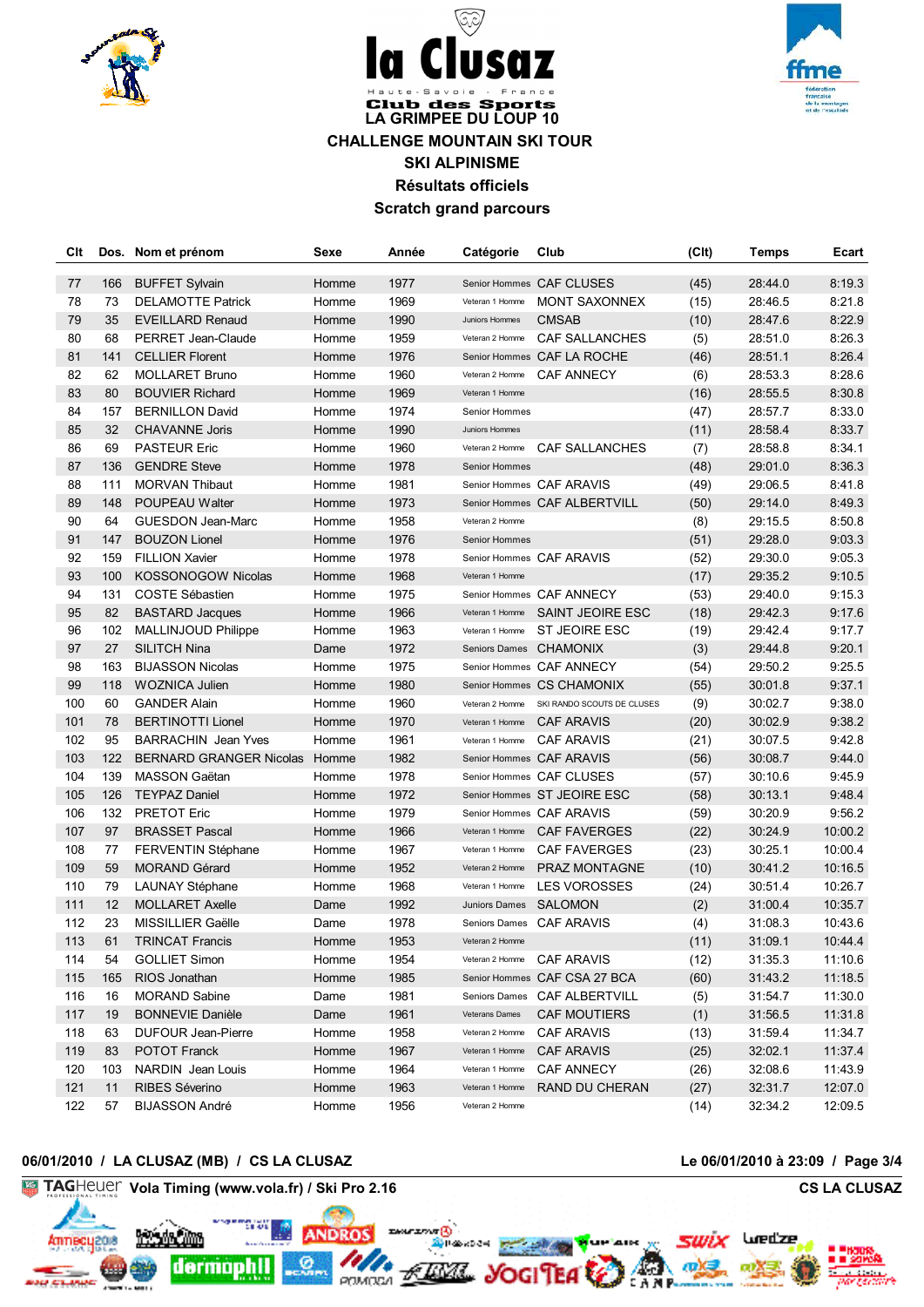



# **Club des Sports LA GRIMPEE DU LOUP 10 CHALLENGE MOUNTAIN SKI TOUR SKI ALPINISME Résultats officiels Scratch grand parcours**

 $\ddot{\phantom{a}}$ 

জ্

**SUZ** 

| Clt        | Dos.      | Nom et prénom                                       | Sexe           | Année        | Catégorie                                | Club                                                | (C <sub>It</sub> ) | Temps              | Ecart              |
|------------|-----------|-----------------------------------------------------|----------------|--------------|------------------------------------------|-----------------------------------------------------|--------------------|--------------------|--------------------|
|            |           |                                                     |                |              |                                          |                                                     |                    |                    |                    |
| 77<br>78   | 166       | <b>BUFFET Sylvain</b>                               | Homme          | 1977<br>1969 | Veteran 1 Homme                          | Senior Hommes CAF CLUSES<br><b>MONT SAXONNEX</b>    | (45)               | 28:44.0            | 8:19.3<br>8:21.8   |
| 79         | 73<br>35  | <b>DELAMOTTE Patrick</b><br><b>EVEILLARD Renaud</b> | Homme<br>Homme | 1990         | Juniors Hommes                           | <b>CMSAB</b>                                        | (15)<br>(10)       | 28:46.5<br>28:47.6 | 8:22.9             |
| 80         | 68        | PERRET Jean-Claude                                  | Homme          | 1959         | Veteran 2 Homme                          | CAF SALLANCHES                                      | (5)                | 28:51.0            | 8:26.3             |
| 81         | 141       | <b>CELLIER Florent</b>                              | Homme          | 1976         |                                          | Senior Hommes CAF LA ROCHE                          |                    |                    | 8:26.4             |
| 82         | 62        | <b>MOLLARET Bruno</b>                               | Homme          | 1960         | Veteran 2 Homme                          | CAF ANNECY                                          | (46)               | 28:51.1<br>28:53.3 | 8:28.6             |
| 83         | 80        | <b>BOUVIER Richard</b>                              | Homme          | 1969         |                                          |                                                     | (6)                |                    |                    |
| 84         |           |                                                     |                | 1974         | Veteran 1 Homme<br>Senior Hommes         |                                                     | (16)               | 28:55.5            | 8:30.8<br>8:33.0   |
| 85         | 157<br>32 | <b>BERNILLON David</b>                              | Homme<br>Homme | 1990         | Juniors Hommes                           |                                                     | (47)               | 28:57.7<br>28:58.4 | 8:33.7             |
| 86         | 69        | <b>CHAVANNE Joris</b><br><b>PASTEUR Eric</b>        | Homme          | 1960         | Veteran 2 Homme                          | <b>CAF SALLANCHES</b>                               | (11)               | 28:58.8            | 8:34.1             |
| 87         | 136       | <b>GENDRE Steve</b>                                 | Homme          | 1978         | Senior Hommes                            |                                                     | (7)<br>(48)        | 29:01.0            | 8:36.3             |
| 88         | 111       | <b>MORVAN Thibaut</b>                               | Homme          | 1981         |                                          | Senior Hommes CAF ARAVIS                            | (49)               | 29:06.5            | 8:41.8             |
| 89         | 148       | POUPEAU Walter                                      | Homme          | 1973         |                                          | Senior Hommes CAF ALBERTVILL                        |                    |                    |                    |
| 90         | 64        | <b>GUESDON Jean-Marc</b>                            | Homme          | 1958         | Veteran 2 Homme                          |                                                     | (50)<br>(8)        | 29:14.0<br>29:15.5 | 8:49.3<br>8:50.8   |
| 91         | 147       | <b>BOUZON Lionel</b>                                | Homme          | 1976         | Senior Hommes                            |                                                     |                    |                    |                    |
| 92         | 159       | <b>FILLION Xavier</b>                               | Homme          | 1978         |                                          |                                                     | (51)               | 29:28.0<br>29:30.0 | 9:03.3<br>9:05.3   |
| 93         | 100       | <b>KOSSONOGOW Nicolas</b>                           | Homme          | 1968         | Veteran 1 Homme                          | Senior Hommes CAF ARAVIS                            | (52)               |                    |                    |
| 94         |           |                                                     | Homme          |              |                                          |                                                     | (17)               | 29:35.2            | 9:10.5             |
| 95         | 131<br>82 | COSTE Sébastien<br><b>BASTARD Jacques</b>           |                | 1975<br>1966 |                                          | Senior Hommes CAF ANNECY<br><b>SAINT JEOIRE ESC</b> | (53)               | 29:40.0<br>29:42.3 | 9:15.3<br>9:17.6   |
|            |           |                                                     | Homme          | 1963         | Veteran 1 Homme<br>Veteran 1 Homme       | <b>ST JEOIRE ESC</b>                                | (18)               |                    |                    |
| 96<br>97   | 102       | MALLINJOUD Philippe                                 | Homme          |              |                                          |                                                     | (19)               | 29:42.4            | 9:17.7             |
|            | 27        | SILITCH Nina                                        | Dame           | 1972         |                                          | Seniors Dames CHAMONIX                              | (3)                | 29:44.8            | 9:20.1             |
| 98         | 163       | <b>BIJASSON Nicolas</b>                             | Homme          | 1975         |                                          | Senior Hommes CAF ANNECY                            | (54)               | 29:50.2            | 9:25.5             |
| 99         | 118       | <b>WOZNICA Julien</b>                               | Homme          | 1980         |                                          | Senior Hommes CS CHAMONIX                           | (55)               | 30:01.8            | 9:37.1             |
| 100        | 60        | <b>GANDER Alain</b>                                 | Homme          | 1960         | Veteran 2 Homme                          | SKI RANDO SCOUTS DE CLUSES                          | (9)                | 30:02.7            | 9:38.0             |
| 101<br>102 | 78        | <b>BERTINOTTI Lionel</b>                            | Homme          | 1970         | Veteran 1 Homme                          | <b>CAF ARAVIS</b>                                   | (20)               | 30:02.9            | 9:38.2             |
|            | 95        | <b>BARRACHIN</b> Jean Yves                          | Homme          | 1961         |                                          | Veteran 1 Homme CAF ARAVIS                          | (21)               | 30:07.5            | 9:42.8             |
| 103<br>104 | 122       | <b>BERNARD GRANGER Nicolas</b>                      | Homme          | 1982         |                                          | Senior Hommes CAF ARAVIS                            | (56)               | 30:08.7            | 9:44.0             |
|            | 139       | MASSON Gaëtan                                       | Homme          | 1978         |                                          | Senior Hommes CAF CLUSES                            | (57)               | 30:10.6            | 9:45.9             |
| 105        | 126       | <b>TEYPAZ Daniel</b>                                | Homme          | 1972         |                                          | Senior Hommes ST JEOIRE ESC                         | (58)               | 30:13.1            | 9:48.4             |
| 106        | 132       | <b>PRETOT Eric</b>                                  | Homme          | 1979         |                                          | Senior Hommes CAF ARAVIS                            | (59)               | 30:20.9            | 9:56.2             |
| 107        | 97        | <b>BRASSET Pascal</b>                               | Homme<br>Homme | 1966         | Veteran 1 Homme                          | <b>CAF FAVERGES</b>                                 | (22)               | 30:24.9            | 10:00.2            |
| 108        | 77        | <b>FERVENTIN Stéphane</b>                           |                | 1967         | Veteran 1 Homme                          | <b>CAF FAVERGES</b>                                 | (23)               | 30:25.1<br>30:41.2 | 10:00.4            |
| 109        | 59        | <b>MORAND Gérard</b>                                | Homme          | 1952         | Veteran 2 Homme                          | <b>PRAZ MONTAGNE</b><br><b>LES VOROSSES</b>         | (10)               |                    | 10:16.5            |
| 110<br>111 | 79<br>12  | <b>LAUNAY Stéphane</b>                              | Homme<br>Dame  | 1968<br>1992 | Veteran 1 Homme<br>Juniors Dames SALOMON |                                                     | (24)               | 30:51.4<br>31:00.4 | 10:26.7<br>10:35.7 |
| 112        | 23        | <b>MOLLARET Axelle</b>                              |                | 1978         |                                          |                                                     | (2)                | 31:08.3            |                    |
|            |           | MISSILLIER Gaëlle                                   | Dame           |              | Veteran 2 Homme                          | Seniors Dames CAF ARAVIS                            | (4)                |                    | 10:43.6            |
| 113        | 61        | <b>TRINCAT Francis</b>                              | Homme          | 1953         |                                          |                                                     | (11)               | 31:09.1            | 10:44.4            |
| 114        | 54        | <b>GOLLIET Simon</b>                                | Homme          | 1954         | Veteran 2 Homme                          | <b>CAF ARAVIS</b>                                   | (12)               | 31:35.3            | 11:10.6            |
| 115        | 165       | RIOS Jonathan                                       | Homme          | 1985         |                                          | Senior Hommes CAF CSA 27 BCA                        | (60)               | 31:43.2            | 11:18.5            |
| 116        | 16        | <b>MORAND Sabine</b>                                | Dame           | 1981         | Seniors Dames                            | CAF ALBERTVILL                                      | (5)                | 31:54.7            | 11:30.0            |
| 117        | 19        | <b>BONNEVIE Danièle</b>                             | Dame           | 1961         | Veterans Dames                           | <b>CAF MOUTIERS</b>                                 | (1)                | 31:56.5            | 11:31.8            |
| 118        | 63        | <b>DUFOUR Jean-Pierre</b>                           | Homme          | 1958         | Veteran 2 Homme                          | <b>CAF ARAVIS</b>                                   | (13)               | 31:59.4            | 11:34.7            |
| 119        | 83        | POTOT Franck                                        | Homme          | 1967         | Veteran 1 Homme                          | <b>CAF ARAVIS</b>                                   | (25)               | 32:02.1            | 11:37.4            |
| 120        | 103       | NARDIN Jean Louis                                   | Homme          | 1964         | Veteran 1 Homme                          | CAF ANNECY                                          | (26)               | 32:08.6            | 11:43.9            |
| 121        | 11        | RIBES Séverino                                      | Homme          | 1963         | Veteran 1 Homme                          | RAND DU CHERAN                                      | (27)               | 32:31.7            | 12:07.0            |
| 122        | 57        | <b>BIJASSON André</b>                               | Homme          | 1956         | Veteran 2 Homme                          |                                                     | (14)               | 32:34.2            | 12:09.5            |

# **06/01/2010 / LA CLUSAZ (MB) / CS LA CLUSAZ Le 06/01/2010 à 23:09 / Page 3/4**